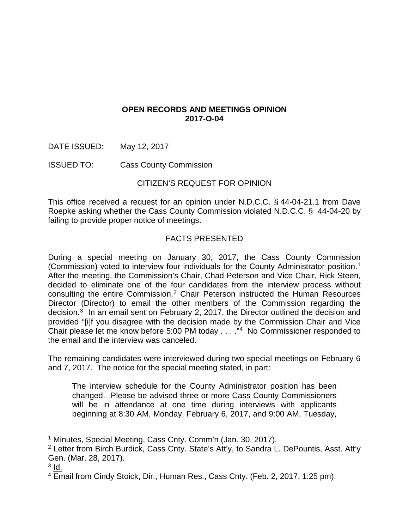# **OPEN RECORDS AND MEETINGS OPINION 2017-O-04**

DATE ISSUED: May 12, 2017

ISSUED TO: Cass County Commission

# CITIZEN'S REQUEST FOR OPINION

This office received a request for an opinion under N.D.C.C. § 44-04-21.1 from Dave Roepke asking whether the Cass County Commission violated N.D.C.C. § 44-04-20 by failing to provide proper notice of meetings.

# FACTS PRESENTED

During a special meeting on January 30, 2017, the Cass County Commission (Commission) voted to interview four individuals for the County Administrator position.[1](#page-0-0) After the meeting, the Commission's Chair, Chad Peterson and Vice Chair, Rick Steen, decided to eliminate one of the four candidates from the interview process without consulting the entire Commission.<sup>[2](#page-0-1)</sup> Chair Peterson instructed the Human Resources Director (Director) to email the other members of the Commission regarding the decision.[3](#page-0-2) In an email sent on February 2, 2017, the Director outlined the decision and provided "[i]f you disagree with the decision made by the Commission Chair and Vice Chair please let me know before 5:00 PM today . . . ."[4](#page-0-3) No Commissioner responded to the email and the interview was canceled.

The remaining candidates were interviewed during two special meetings on February 6 and 7, 2017. The notice for the special meeting stated, in part:

The interview schedule for the County Administrator position has been changed. Please be advised three or more Cass County Commissioners will be in attendance at one time during interviews with applicants beginning at 8:30 AM, Monday, February 6, 2017, and 9:00 AM, Tuesday,

<span id="page-0-0"></span><sup>&</sup>lt;sup>1</sup> Minutes, Special Meeting, Cass Cnty. Comm'n (Jan. 30, 2017).

<span id="page-0-1"></span><sup>2</sup> Letter from Birch Burdick, Cass Cnty. State's Att'y, to Sandra L. DePountis, Asst. Att'y Gen. (Mar. 28, 2017).

<span id="page-0-2"></span> $3$  Id.

<span id="page-0-3"></span><sup>&</sup>lt;sup>4</sup> Email from Cindy Stoick, Dir., Human Res., Cass Cnty. (Feb. 2, 2017, 1:25 pm).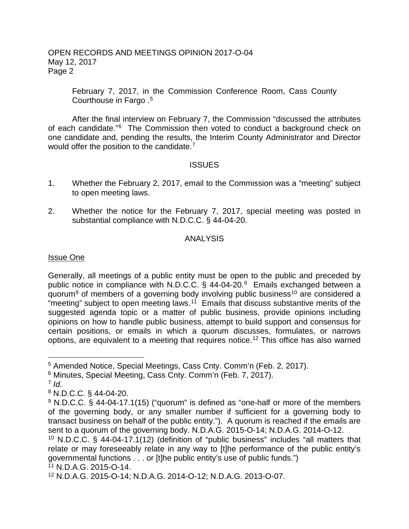February 7, 2017, in the Commission Conference Room, Cass County Courthouse in Fargo . [5](#page-1-0)

After the final interview on February 7, the Commission "discussed the attributes of each candidate.["6](#page-1-1) The Commission then voted to conduct a background check on one candidate and, pending the results, the Interim County Administrator and Director would offer the position to the candidate.<sup>[7](#page-1-2)</sup>

## **ISSUES**

- 1. Whether the February 2, 2017, email to the Commission was a "meeting" subject to open meeting laws.
- 2. Whether the notice for the February 7, 2017, special meeting was posted in substantial compliance with N.D.C.C. § 44-04-20.

## ANALYSIS

### Issue One

Generally, all meetings of a public entity must be open to the public and preceded by public notice in compliance with N.D.C.C.  $\S$  44-04-20.<sup>[8](#page-1-3)</sup> Emails exchanged between a quorum<sup>[9](#page-1-4)</sup> of members of a governing body involving public business<sup>[10](#page-1-5)</sup> are considered a "meeting" subject to open meeting laws.<sup>11</sup> Emails that discuss substantive merits of the suggested agenda topic or a matter of public business, provide opinions including opinions on how to handle public business, attempt to build support and consensus for certain positions, or emails in which a quorum discusses, formulates, or narrows options, are equivalent to a meeting that requires notice.[12](#page-1-7) This office has also warned

<span id="page-1-2"></span> $7$  *Id.* 

<span id="page-1-0"></span> <sup>5</sup> Amended Notice, Special Meetings, Cass Cnty. Comm'n (Feb. 2, 2017).

<span id="page-1-1"></span><sup>6</sup> Minutes, Special Meeting, Cass Cnty. Comm'n (Feb. 7, 2017).

<span id="page-1-3"></span><sup>8</sup> N.D.C.C. § 44-04-20.

<span id="page-1-4"></span><sup>&</sup>lt;sup>9</sup> N.D.C.C. § 44-04-17.1(15) ("quorum" is defined as "one-half or more of the members of the governing body, or any smaller number if sufficient for a governing body to transact business on behalf of the public entity."). A quorum is reached if the emails are sent to a quorum of the governing body. N.D.A.G. 2015-O-14; N.D.A.G. 2014-O-12.

<span id="page-1-5"></span><sup>&</sup>lt;sup>10</sup> N.D.C.C. § 44-04-17.1(12) (definition of "public business" includes "all matters that relate or may foreseeably relate in any way to [t]he performance of the public entity's governmental functions . . . or [t]he public entity's use of public funds.")  $11$  N.D.A.G. 2015-O-14.

<span id="page-1-7"></span><span id="page-1-6"></span><sup>12</sup> N.D.A.G. 2015-O-14; N.D.A.G. 2014-O-12; N.D.A.G. 2013-O-07.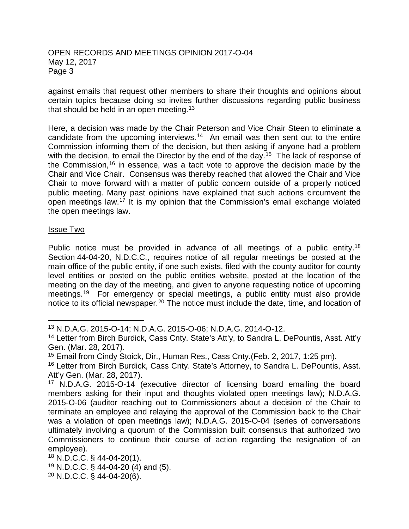against emails that request other members to share their thoughts and opinions about certain topics because doing so invites further discussions regarding public business that should be held in an open meeting.<sup>[13](#page-2-0)</sup>

Here, a decision was made by the Chair Peterson and Vice Chair Steen to eliminate a candidate from the upcoming interviews.<sup>14</sup> An email was then sent out to the entire Commission informing them of the decision, but then asking if anyone had a problem with the decision, to email the Director by the end of the day.<sup>15</sup> The lack of response of the Commission,<sup>16</sup> in essence, was a tacit vote to approve the decision made by the Chair and Vice Chair. Consensus was thereby reached that allowed the Chair and Vice Chair to move forward with a matter of public concern outside of a properly noticed public meeting. Many past opinions have explained that such actions circumvent the open meetings law.<sup>[17](#page-2-4)</sup> It is my opinion that the Commission's email exchange violated the open meetings law.

#### Issue Two

Public notice must be provided in advance of all meetings of a public entity.<sup>[18](#page-2-5)</sup> Section 44-04-20, N.D.C.C., requires notice of all regular meetings be posted at the main office of the public entity, if one such exists, filed with the county auditor for county level entities or posted on the public entities website, posted at the location of the meeting on the day of the meeting, and given to anyone requesting notice of upcoming meetings.<sup>[19](#page-2-6)</sup> For emergency or special meetings, a public entity must also provide notice to its official newspaper.[20](#page-2-7) The notice must include the date, time, and location of

- <span id="page-2-6"></span><sup>19</sup> N.D.C.C. § 44-04-20 (4) and (5).
- <span id="page-2-7"></span><sup>20</sup> N.D.C.C. § 44-04-20(6).

<span id="page-2-0"></span> <sup>13</sup> N.D.A.G. 2015-O-14; N.D.A.G. 2015-O-06; N.D.A.G. 2014-O-12.

<span id="page-2-1"></span><sup>&</sup>lt;sup>14</sup> Letter from Birch Burdick, Cass Cnty. State's Att'y, to Sandra L. DePountis, Asst. Att'y Gen. (Mar. 28, 2017).

<span id="page-2-2"></span><sup>15</sup> Email from Cindy Stoick, Dir., Human Res., Cass Cnty.(Feb. 2, 2017, 1:25 pm).

<span id="page-2-3"></span><sup>&</sup>lt;sup>16</sup> Letter from Birch Burdick, Cass Cnty. State's Attorney, to Sandra L. DePountis, Asst. Att'y Gen. (Mar. 28, 2017).

<span id="page-2-4"></span><sup>&</sup>lt;sup>17</sup> N.D.A.G. 2015-O-14 (executive director of licensing board emailing the board members asking for their input and thoughts violated open meetings law); N.D.A.G. 2015-O-06 (auditor reaching out to Commissioners about a decision of the Chair to terminate an employee and relaying the approval of the Commission back to the Chair was a violation of open meetings law); N.D.A.G. 2015-O-04 (series of conversations ultimately involving a quorum of the Commission built consensus that authorized two Commissioners to continue their course of action regarding the resignation of an employee).

<span id="page-2-5"></span><sup>18</sup> N.D.C.C. § 44-04-20(1).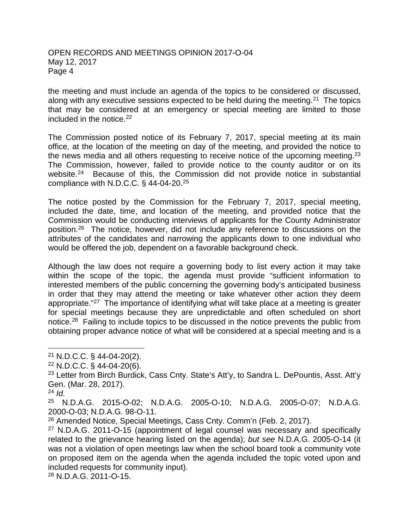the meeting and must include an agenda of the topics to be considered or discussed, along with any executive sessions expected to be held during the meeting.<sup>21</sup> The topics that may be considered at an emergency or special meeting are limited to those included in the notice. $22$ 

The Commission posted notice of its February 7, 2017, special meeting at its main office, at the location of the meeting on day of the meeting, and provided the notice to the news media and all others requesting to receive notice of the upcoming meeting.<sup>[23](#page-3-2)</sup> The Commission, however, failed to provide notice to the county auditor or on its website.<sup>[24](#page-3-3)</sup> Because of this, the Commission did not provide notice in substantial compliance with N.D.C.C. § 44-04-20.[25](#page-3-4) 

The notice posted by the Commission for the February 7, 2017, special meeting, included the date, time, and location of the meeting, and provided notice that the Commission would be conducting interviews of applicants for the County Administrator position.[26](#page-3-5) The notice, however, did not include any reference to discussions on the attributes of the candidates and narrowing the applicants down to one individual who would be offered the job, dependent on a favorable background check.

Although the law does not require a governing body to list every action it may take within the scope of the topic, the agenda must provide "sufficient information to interested members of the public concerning the governing body's anticipated business in order that they may attend the meeting or take whatever other action they deem appropriate."<sup>[27](#page-3-6)</sup> The importance of identifying what will take place at a meeting is greater for special meetings because they are unpredictable and often scheduled on short notice.<sup>28</sup> Failing to include topics to be discussed in the notice prevents the public from obtaining proper advance notice of what will be considered at a special meeting and is a

<span id="page-3-7"></span><sup>28</sup> N.D.A.G. 2011-O-15.

<span id="page-3-0"></span> $21$  N.D.C.C. § 44-04-20(2).

<span id="page-3-1"></span><sup>22</sup> N.D.C.C. § 44-04-20(6).

<span id="page-3-2"></span><sup>&</sup>lt;sup>23</sup> Letter from Birch Burdick, Cass Cnty. State's Att'y, to Sandra L. DePountis, Asst. Att'y Gen. (Mar. 28, 2017).

<span id="page-3-3"></span><sup>24</sup> *Id.*

<span id="page-3-4"></span><sup>25</sup> N.D.A.G. 2015-O-02; N.D.A.G. 2005-O-10; N.D.A.G. 2005-O-07; N.D.A.G. 2000-O-03; N.D.A.G. 98-O-11.

<span id="page-3-5"></span><sup>26</sup> Amended Notice, Special Meetings, Cass Cnty. Comm'n (Feb. 2, 2017).

<span id="page-3-6"></span><sup>27</sup> N.D.A.G. 2011-O-15 (appointment of legal counsel was necessary and specifically related to the grievance hearing listed on the agenda); *but see* N.D.A.G. 2005-O-14 (it was not a violation of open meetings law when the school board took a community vote on proposed item on the agenda when the agenda included the topic voted upon and included requests for community input).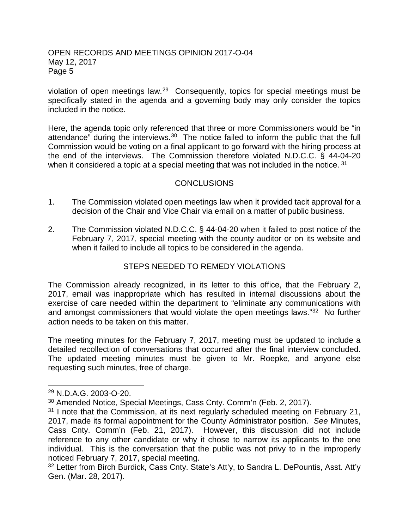violation of open meetings law.[29](#page-4-0) Consequently, topics for special meetings must be specifically stated in the agenda and a governing body may only consider the topics included in the notice.

Here, the agenda topic only referenced that three or more Commissioners would be "in attendance" during the interviews.<sup>[30](#page-4-1)</sup> The notice failed to inform the public that the full Commission would be voting on a final applicant to go forward with the hiring process at the end of the interviews. The Commission therefore violated N.D.C.C. § 44-04-20 when it considered a topic at a special meeting that was not included in the notice. <sup>[31](#page-4-2)</sup>

## **CONCLUSIONS**

- 1. The Commission violated open meetings law when it provided tacit approval for a decision of the Chair and Vice Chair via email on a matter of public business.
- 2. The Commission violated N.D.C.C. § 44-04-20 when it failed to post notice of the February 7, 2017, special meeting with the county auditor or on its website and when it failed to include all topics to be considered in the agenda.

# STEPS NEEDED TO REMEDY VIOLATIONS

The Commission already recognized, in its letter to this office, that the February 2, 2017, email was inappropriate which has resulted in internal discussions about the exercise of care needed within the department to "eliminate any communications with and amongst commissioners that would violate the open meetings laws."[32](#page-4-3) No further action needs to be taken on this matter.

The meeting minutes for the February 7, 2017, meeting must be updated to include a detailed recollection of conversations that occurred after the final interview concluded. The updated meeting minutes must be given to Mr. Roepke, and anyone else requesting such minutes, free of charge.

<span id="page-4-0"></span> <sup>29</sup> N.D.A.G. 2003-O-20.

<span id="page-4-1"></span><sup>30</sup> Amended Notice, Special Meetings, Cass Cnty. Comm'n (Feb. 2, 2017).

<span id="page-4-2"></span> $31$  I note that the Commission, at its next regularly scheduled meeting on February 21, 2017, made its formal appointment for the County Administrator position. *See* Minutes, Cass Cnty. Comm'n (Feb. 21, 2017). However, this discussion did not include reference to any other candidate or why it chose to narrow its applicants to the one individual. This is the conversation that the public was not privy to in the improperly noticed February 7, 2017, special meeting.

<span id="page-4-3"></span><sup>&</sup>lt;sup>32</sup> Letter from Birch Burdick, Cass Cnty. State's Att'y, to Sandra L. DePountis, Asst. Att'y Gen. (Mar. 28, 2017).